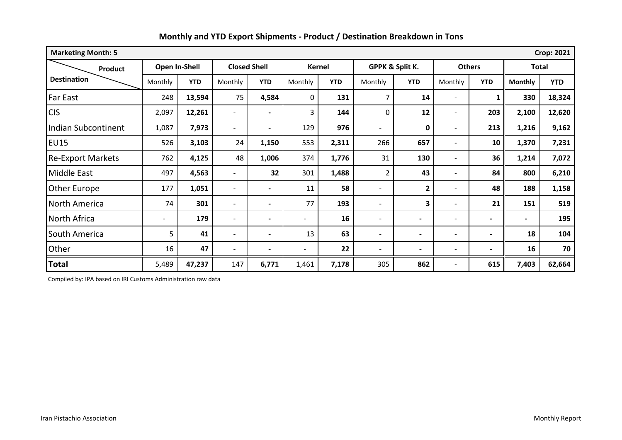| <b>Marketing Month: 5</b><br><b>Crop: 2021</b> |                          |            |                          |                          |                          |               |                          |                 |                          |                |                          |              |
|------------------------------------------------|--------------------------|------------|--------------------------|--------------------------|--------------------------|---------------|--------------------------|-----------------|--------------------------|----------------|--------------------------|--------------|
| Product                                        | Open In-Shell            |            |                          | <b>Closed Shell</b>      |                          | <b>Kernel</b> |                          | GPPK & Split K. |                          | <b>Others</b>  |                          | <b>Total</b> |
| <b>Destination</b>                             | Monthly                  | <b>YTD</b> | Monthly                  | <b>YTD</b>               | Monthly                  | <b>YTD</b>    | Monthly                  | <b>YTD</b>      | Monthly                  | <b>YTD</b>     | <b>Monthly</b>           | <b>YTD</b>   |
| Far East                                       | 248                      | 13,594     | 75                       | 4,584                    | 0                        | 131           | 7                        | 14              |                          | 1              | 330                      | 18,324       |
| <b>CIS</b>                                     | 2,097                    | 12,261     | $\overline{\phantom{a}}$ |                          | 3                        | 144           | 0                        | 12              |                          | 203            | 2,100                    | 12,620       |
| <b>Indian Subcontinent</b>                     | 1,087                    | 7,973      | $\overline{\phantom{a}}$ | $\blacksquare$           | 129                      | 976           | -                        | 0               |                          | 213            | 1,216                    | 9,162        |
| <b>EU15</b>                                    | 526                      | 3,103      | 24                       | 1,150                    | 553                      | 2,311         | 266                      | 657             |                          | 10             | 1,370                    | 7,231        |
| <b>Re-Export Markets</b>                       | 762                      | 4,125      | 48                       | 1,006                    | 374                      | 1,776         | 31                       | 130             | $\overline{\phantom{a}}$ | 36             | 1,214                    | 7,072        |
| Middle East                                    | 497                      | 4,563      | $\overline{\phantom{0}}$ | 32                       | 301                      | 1,488         | $\overline{2}$           | 43              |                          | 84             | 800                      | 6,210        |
| Other Europe                                   | 177                      | 1,051      | $\overline{\phantom{a}}$ | $\blacksquare$           | 11                       | 58            | $\overline{\phantom{0}}$ | 2               |                          | 48             | 188                      | 1,158        |
| North America                                  | 74                       | 301        | $\overline{\phantom{a}}$ | $\blacksquare$           | 77                       | 193           | $\overline{\phantom{a}}$ | 3               |                          | 21             | 151                      | 519          |
| North Africa                                   | $\overline{\phantom{a}}$ | 179        | $\overline{\phantom{a}}$ | $\overline{\phantom{a}}$ | $\overline{\phantom{a}}$ | 16            | $\overline{\phantom{0}}$ |                 | $\overline{\phantom{a}}$ | ۰              | $\overline{\phantom{0}}$ | 195          |
| South America                                  | 5                        | 41         | $\overline{\phantom{a}}$ | $\blacksquare$           | 13                       | 63            | $\overline{\phantom{0}}$ | $\blacksquare$  | $\overline{\phantom{a}}$ | $\blacksquare$ | 18                       | 104          |
| Other                                          | 16                       | 47         | $\blacksquare$           | $\blacksquare$           | $\overline{\phantom{a}}$ | 22            | $\overline{a}$           |                 | $\overline{\phantom{0}}$ | $\blacksquare$ | 16                       | 70           |
| <b>Total</b>                                   | 5,489                    | 47,237     | 147                      | 6,771                    | 1,461                    | 7,178         | 305                      | 862             | $\overline{\phantom{a}}$ | 615            | 7,403                    | 62,664       |

Compiled by: IPA based on IRI Customs Administration raw data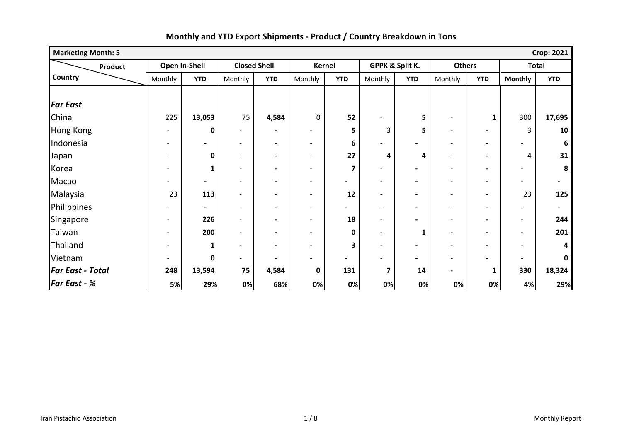| <b>Marketing Month: 5</b> |                          |                          |                              |                              |                          |                          |                          |                          |                          |                          |                          | <b>Crop: 2021</b>        |
|---------------------------|--------------------------|--------------------------|------------------------------|------------------------------|--------------------------|--------------------------|--------------------------|--------------------------|--------------------------|--------------------------|--------------------------|--------------------------|
| <b>Product</b>            |                          | Open In-Shell            | <b>Closed Shell</b>          |                              |                          | <b>Kernel</b>            |                          | GPPK & Split K.          | <b>Others</b>            |                          |                          | <b>Total</b>             |
| Country                   | Monthly                  | <b>YTD</b>               | Monthly                      | <b>YTD</b>                   | Monthly                  | <b>YTD</b>               | Monthly                  | <b>YTD</b>               | Monthly                  | <b>YTD</b>               | <b>Monthly</b>           | <b>YTD</b>               |
|                           |                          |                          |                              |                              |                          |                          |                          |                          |                          |                          |                          |                          |
| <b>Far East</b>           |                          |                          |                              |                              |                          |                          |                          |                          |                          |                          |                          |                          |
| China                     | 225                      | 13,053                   | 75                           | 4,584                        | $\pmb{0}$                | 52                       |                          | 5                        | $\overline{\phantom{a}}$ | 1                        | 300                      | 17,695                   |
| <b>Hong Kong</b>          | $\overline{\phantom{a}}$ | 0                        | $\qquad \qquad \blacksquare$ | $\blacksquare$               | -                        | 5                        | 3                        | 5                        | $\overline{\phantom{a}}$ | $\blacksquare$           | 3                        | 10                       |
| Indonesia                 |                          | $\overline{\phantom{a}}$ | -                            | $\blacksquare$               | $\overline{\phantom{0}}$ | 6                        | -                        | -                        | $\overline{\phantom{a}}$ | $\blacksquare$           |                          | 6                        |
| Japan                     |                          | 0                        | $\overline{\phantom{0}}$     | $\qquad \qquad \blacksquare$ | $\overline{\phantom{a}}$ | 27                       | 4                        | 4                        | $\overline{\phantom{a}}$ | $\blacksquare$           | 4                        | 31                       |
| Korea                     |                          | 1                        | $\overline{\phantom{0}}$     | $\overline{\phantom{0}}$     | $\blacksquare$           | 7                        | $\overline{\phantom{0}}$ | $\blacksquare$           | $\overline{\phantom{a}}$ | $\blacksquare$           |                          | 8                        |
| Macao                     |                          | $\blacksquare$           | $\overline{\phantom{a}}$     | $\overline{\phantom{0}}$     | $\overline{\phantom{a}}$ | $\overline{\phantom{0}}$ | $\overline{\phantom{a}}$ | $\blacksquare$           | $\overline{\phantom{a}}$ | $\blacksquare$           | $\overline{\phantom{0}}$ | $\blacksquare$           |
| Malaysia                  | 23                       | 113                      | $\qquad \qquad \blacksquare$ | $\qquad \qquad \blacksquare$ | $\overline{\phantom{a}}$ | 12                       | -                        | $\blacksquare$           | $\overline{\phantom{a}}$ | $\blacksquare$           | 23                       | 125                      |
| Philippines               |                          | $\blacksquare$           | $\overline{\phantom{0}}$     | $\blacksquare$               | $\overline{\phantom{a}}$ |                          | -                        | $\overline{\phantom{0}}$ | $\overline{\phantom{a}}$ | $\blacksquare$           |                          | $\overline{\phantom{0}}$ |
| Singapore                 | $\overline{\phantom{a}}$ | 226                      | $\overline{\phantom{0}}$     |                              | $\qquad \qquad$          | 18                       | -                        | $\overline{\phantom{0}}$ | $\overline{\phantom{0}}$ |                          | $\overline{\phantom{a}}$ | 244                      |
| Taiwan                    | $\overline{\phantom{a}}$ | 200                      | $\overline{\phantom{0}}$     | $\blacksquare$               | $\overline{\phantom{0}}$ | 0                        | -                        | $\mathbf{1}$             | $\overline{\phantom{a}}$ | $\blacksquare$           | $\overline{\phantom{a}}$ | 201                      |
| Thailand                  | $\overline{\phantom{a}}$ | 1                        | $\overline{\phantom{a}}$     | $\blacksquare$               | $\overline{\phantom{a}}$ | 3                        | $\overline{\phantom{0}}$ | $\overline{\phantom{0}}$ | $\overline{\phantom{a}}$ | $\overline{\phantom{0}}$ | $\overline{\phantom{a}}$ | Δ                        |
| Vietnam                   | $\overline{\phantom{a}}$ | $\mathbf{0}$             | $\qquad \qquad \blacksquare$ | $\qquad \qquad \blacksquare$ | -                        | $\overline{\phantom{0}}$ | $\overline{\phantom{0}}$ | $\overline{\phantom{0}}$ | $\overline{\phantom{a}}$ | $\overline{\phantom{0}}$ | $\overline{\phantom{a}}$ | <sup>0</sup>             |
| <b>Far East - Total</b>   | 248                      | 13,594                   | 75                           | 4,584                        | $\pmb{0}$                | 131                      | $\overline{\mathbf{z}}$  | 14                       | $\blacksquare$           | $\mathbf{1}$             | 330                      | 18,324                   |
| <b>Far East - %</b>       | 5%                       | 29%                      | 0%                           | 68%                          | 0%                       | 0%                       | 0%                       | 0%                       | 0%                       | 0%                       | 4%                       | 29%                      |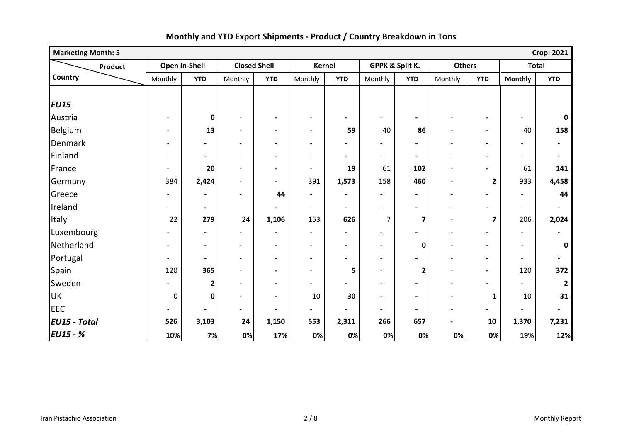| <b>Marketing Month: 5</b> |                          |                              |                          |                          |                          |                          |                          |                         |                          |                         |                          | <b>Crop: 2021</b>        |
|---------------------------|--------------------------|------------------------------|--------------------------|--------------------------|--------------------------|--------------------------|--------------------------|-------------------------|--------------------------|-------------------------|--------------------------|--------------------------|
| Product                   |                          | Open In-Shell                | <b>Closed Shell</b>      |                          | <b>Kernel</b>            |                          | GPPK & Split K.          |                         | <b>Others</b>            |                         |                          | <b>Total</b>             |
| Country                   | Monthly                  | <b>YTD</b>                   | Monthly                  | <b>YTD</b>               | Monthly                  | <b>YTD</b>               | Monthly                  | <b>YTD</b>              | Monthly                  | <b>YTD</b>              | <b>Monthly</b>           | <b>YTD</b>               |
|                           |                          |                              |                          |                          |                          |                          |                          |                         |                          |                         |                          |                          |
| <b>EU15</b>               |                          |                              |                          |                          |                          |                          |                          |                         |                          |                         |                          |                          |
| Austria                   |                          | $\pmb{0}$                    | $\overline{a}$           | $\blacksquare$           | $\overline{\phantom{a}}$ | $\blacksquare$           | $\overline{\phantom{a}}$ |                         |                          |                         |                          | $\mathbf 0$              |
| Belgium                   |                          | 13                           | $\overline{a}$           | $\blacksquare$           | $\overline{\phantom{a}}$ | 59                       | 40                       | 86                      | $\overline{\phantom{a}}$ | $\blacksquare$          | 40                       | 158                      |
| Denmark                   | $\overline{\phantom{a}}$ | $\overline{\phantom{a}}$     | $\overline{\phantom{a}}$ | $\overline{\phantom{a}}$ | $\overline{\phantom{a}}$ | $\blacksquare$           | $\overline{\phantom{0}}$ |                         | $\blacksquare$           | $\blacksquare$          |                          | $\overline{\phantom{a}}$ |
| Finland                   |                          | $\blacksquare$               | $\overline{\phantom{0}}$ | $\overline{\phantom{a}}$ | $\overline{\phantom{a}}$ | $\blacksquare$           | $\overline{\phantom{a}}$ | $\blacksquare$          | $\overline{\phantom{a}}$ | $\blacksquare$          |                          | $\overline{\phantom{a}}$ |
| France                    | $\overline{\phantom{a}}$ | 20                           | $\overline{a}$           | $\blacksquare$           | $\overline{\phantom{a}}$ | 19                       | 61                       | 102                     | $\overline{\phantom{a}}$ | $\blacksquare$          | 61                       | 141                      |
| Germany                   | 384                      | 2,424                        | $\overline{\phantom{0}}$ | $\blacksquare$           | 391                      | 1,573                    | 158                      | 460                     |                          | $\overline{\mathbf{2}}$ | 933                      | 4,458                    |
| Greece                    |                          | $\overline{\phantom{a}}$     | $\overline{\phantom{a}}$ | 44                       | $\overline{\phantom{a}}$ | $\blacksquare$           | $\overline{\phantom{a}}$ | $\blacksquare$          | $\overline{\phantom{a}}$ | $\blacksquare$          | $\overline{\phantom{a}}$ | 44                       |
| Ireland                   |                          | $\blacksquare$               | $\overline{\phantom{0}}$ | $\blacksquare$           | $\overline{\phantom{a}}$ | $\blacksquare$           | $\overline{\phantom{a}}$ | $\blacksquare$          | $\blacksquare$           |                         | $\overline{\phantom{a}}$ | $\blacksquare$           |
| Italy                     | 22                       | 279                          | 24                       | 1,106                    | 153                      | 626                      | 7                        | $\overline{\mathbf{z}}$ | $\overline{\phantom{a}}$ | $\overline{\mathbf{z}}$ | 206                      | 2,024                    |
| Luxembourg                |                          | $\qquad \qquad \blacksquare$ | $\overline{\phantom{0}}$ | $\blacksquare$           | $\blacksquare$           | $\overline{\phantom{a}}$ | $\overline{\phantom{a}}$ |                         | $\overline{\phantom{a}}$ |                         | $\overline{\phantom{a}}$ | $\overline{\phantom{a}}$ |
| Netherland                | $\overline{\phantom{0}}$ | $\blacksquare$               | $\overline{\phantom{a}}$ | $\overline{\phantom{a}}$ | $\overline{\phantom{a}}$ | $\blacksquare$           | $\overline{\phantom{a}}$ | $\bf{0}$                | $\overline{\phantom{a}}$ | $\blacksquare$          | $\overline{\phantom{a}}$ | $\mathbf 0$              |
| Portugal                  | $\overline{\phantom{0}}$ | $\overline{\phantom{a}}$     | $\overline{\phantom{0}}$ | $\overline{\phantom{a}}$ | $\overline{\phantom{a}}$ | $\overline{\phantom{a}}$ | $\overline{\phantom{a}}$ |                         | $\overline{\phantom{a}}$ | $\blacksquare$          | $\overline{\phantom{a}}$ | $\blacksquare$           |
| Spain                     | 120                      | 365                          | $\overline{\phantom{0}}$ | $\overline{\phantom{a}}$ | $\blacksquare$           | 5                        | $\blacksquare$           | $\mathbf{2}$            | $\overline{\phantom{a}}$ | $\blacksquare$          | 120                      | 372                      |
| Sweden                    |                          | $\overline{2}$               | $\overline{a}$           | $\overline{\phantom{a}}$ | $\overline{a}$           | $\overline{\phantom{0}}$ | $\overline{\phantom{a}}$ |                         |                          |                         |                          |                          |
| <b>UK</b>                 | $\pmb{0}$                | 0                            | $\overline{\phantom{0}}$ | $\blacksquare$           | 10                       | 30                       | $\overline{\phantom{a}}$ | $\blacksquare$          | $\overline{\phantom{a}}$ | $\mathbf{1}$            | 10                       | 31                       |
| <b>EEC</b>                | $\overline{\phantom{a}}$ | $\blacksquare$               | $\overline{\phantom{0}}$ | $\blacksquare$           | $\overline{\phantom{a}}$ | $\overline{\phantom{0}}$ | $\overline{\phantom{a}}$ | $\blacksquare$          | $\overline{\phantom{a}}$ | $\blacksquare$          |                          | $\blacksquare$           |
| <b>EU15 - Total</b>       | 526                      | 3,103                        | 24                       | 1,150                    | 553                      | 2,311                    | 266                      | 657                     | $\blacksquare$           | 10                      | 1,370                    | 7,231                    |
| <b>EU15 - %</b>           | 10%                      | 7%                           | 0%                       | 17%                      | 0%                       | 0%                       | 0%                       | 0%                      | 0%                       | 0%                      | 19%                      | 12%                      |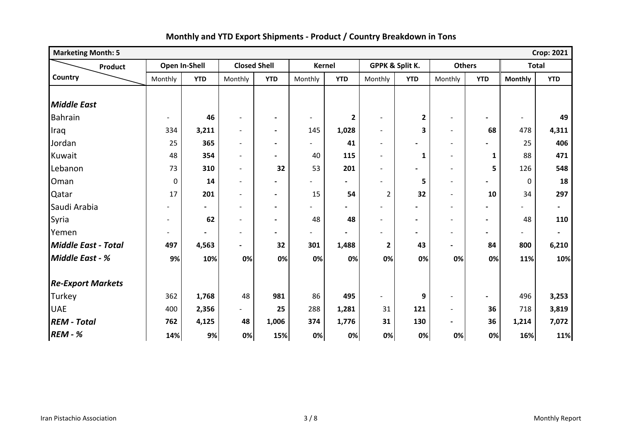| <b>Marketing Month: 5</b> |                          |                |                          |                          |                          |                          |                          |                 |                          |                          |                | <b>Crop: 2021</b> |
|---------------------------|--------------------------|----------------|--------------------------|--------------------------|--------------------------|--------------------------|--------------------------|-----------------|--------------------------|--------------------------|----------------|-------------------|
| Product                   |                          | Open In-Shell  |                          | <b>Closed Shell</b>      | <b>Kernel</b>            |                          |                          | GPPK & Split K. | <b>Others</b>            |                          | <b>Total</b>   |                   |
| Country                   | Monthly                  | <b>YTD</b>     | Monthly                  | <b>YTD</b>               | Monthly                  | <b>YTD</b>               | Monthly                  | <b>YTD</b>      | Monthly                  | <b>YTD</b>               | <b>Monthly</b> | <b>YTD</b>        |
|                           |                          |                |                          |                          |                          |                          |                          |                 |                          |                          |                |                   |
| <b>Middle East</b>        |                          |                |                          |                          |                          |                          |                          |                 |                          |                          |                |                   |
| <b>Bahrain</b>            | $\blacksquare$           | 46             | $\overline{\phantom{a}}$ | $\blacksquare$           | $\overline{\phantom{a}}$ | $\mathbf{2}$             | $\blacksquare$           | $\mathbf{2}$    | $\overline{\phantom{a}}$ | $\blacksquare$           | $\blacksquare$ | 49                |
| Iraq                      | 334                      | 3,211          | $\qquad \qquad -$        | $\blacksquare$           | 145                      | 1,028                    | $\overline{\phantom{a}}$ | 3               | $\overline{\phantom{a}}$ | 68                       | 478            | 4,311             |
| Jordan                    | 25                       | 365            | $\overline{\phantom{a}}$ | $\blacksquare$           | $\overline{a}$           | 41                       | $\blacksquare$           | $\blacksquare$  | $\blacksquare$           |                          | 25             | 406               |
| Kuwait                    | 48                       | 354            | $\overline{\phantom{0}}$ | Ξ.                       | 40                       | 115                      | $\blacksquare$           | $\mathbf{1}$    | $\blacksquare$           | $\mathbf{1}$             | 88             | 471               |
| Lebanon                   | 73                       | 310            | $\overline{\phantom{0}}$ | 32                       | 53                       | 201                      | $\blacksquare$           |                 | $\blacksquare$           | 5                        | 126            | 548               |
| Oman                      | $\pmb{0}$                | 14             | $\overline{\phantom{a}}$ | $\overline{\phantom{0}}$ |                          | $\blacksquare$           | $\overline{a}$           | 5               | $\overline{\phantom{a}}$ | $\blacksquare$           | 0              | 18                |
| Qatar                     | 17                       | 201            | $\overline{\phantom{a}}$ | $\blacksquare$           | 15                       | 54                       | 2                        | 32              | $\overline{\phantom{a}}$ | 10                       | 34             | 297               |
| Saudi Arabia              |                          | $\blacksquare$ | $\overline{\phantom{a}}$ | $\blacksquare$           | $\overline{\phantom{0}}$ | $\overline{\phantom{0}}$ | $\overline{\phantom{a}}$ | $\blacksquare$  | $\overline{\phantom{a}}$ | $\overline{\phantom{0}}$ |                | $\blacksquare$    |
| Syria                     | $\overline{\phantom{0}}$ | 62             | $\qquad \qquad -$        | $\blacksquare$           | 48                       | 48                       | $\blacksquare$           | $\blacksquare$  | $\blacksquare$           | $\blacksquare$           | 48             | 110               |
| Yemen                     | $\overline{\phantom{0}}$ |                | $\overline{\phantom{a}}$ | $\overline{\phantom{0}}$ | $\overline{\phantom{0}}$ | $\blacksquare$           |                          | $\blacksquare$  | $\overline{\phantom{a}}$ | $\blacksquare$           |                |                   |
| Middle East - Total       | 497                      | 4,563          | $\blacksquare$           | 32                       | 301                      | 1,488                    | $\mathbf{2}$             | 43              | $\blacksquare$           | 84                       | 800            | 6,210             |
| <b>Middle East - %</b>    | 9%                       | 10%            | 0%                       | 0%                       | 0%                       | 0%                       | 0%                       | 0%              | 0%                       | 0%                       | 11%            | 10%               |
| <b>Re-Export Markets</b>  |                          |                |                          |                          |                          |                          |                          |                 |                          |                          |                |                   |
| Turkey                    | 362                      | 1,768          | 48                       | 981                      | 86                       | 495                      | $\overline{\phantom{a}}$ | 9               | $\overline{\phantom{a}}$ | $\blacksquare$           | 496            | 3,253             |
| <b>UAE</b>                | 400                      | 2,356          | $\overline{\phantom{a}}$ | 25                       | 288                      | 1,281                    | 31                       | 121             | $\overline{\phantom{a}}$ | 36                       | 718            | 3,819             |
| <b>REM - Total</b>        | 762                      | 4,125          | 48                       | 1,006                    | 374                      | 1,776                    | 31                       | 130             | $\blacksquare$           | 36                       | 1,214          | 7,072             |
| <b>REM - %</b>            | 14%                      | 9%             | 0%                       | 15%                      | 0%                       | 0%                       | 0%                       | 0%              | 0%                       | 0%                       | 16%            | 11%               |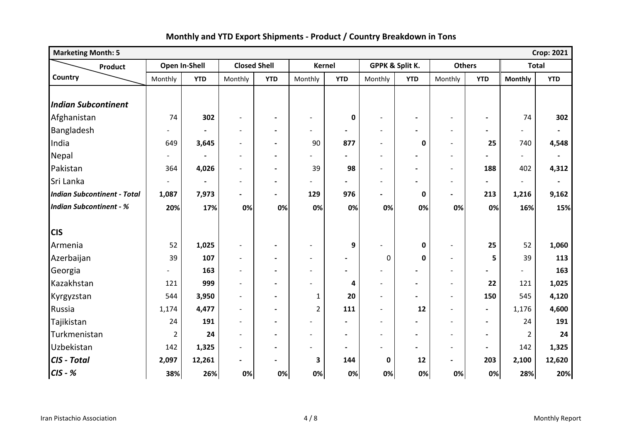| <b>Marketing Month: 5</b>          |                          |               |                          |                          |                          |                |                          |                 |                          |                |                | <b>Crop: 2021</b> |
|------------------------------------|--------------------------|---------------|--------------------------|--------------------------|--------------------------|----------------|--------------------------|-----------------|--------------------------|----------------|----------------|-------------------|
| <b>Product</b>                     |                          | Open In-Shell | <b>Closed Shell</b>      |                          | <b>Kernel</b>            |                |                          | GPPK & Split K. |                          | <b>Others</b>  |                | <b>Total</b>      |
| Country                            | Monthly                  | <b>YTD</b>    | Monthly                  | <b>YTD</b>               | Monthly                  | <b>YTD</b>     | Monthly                  | <b>YTD</b>      | Monthly                  | <b>YTD</b>     | <b>Monthly</b> | <b>YTD</b>        |
|                                    |                          |               |                          |                          |                          |                |                          |                 |                          |                |                |                   |
| <b>Indian Subcontinent</b>         |                          |               |                          |                          |                          |                |                          |                 |                          |                |                |                   |
| Afghanistan                        | 74                       | 302           | $\overline{\phantom{a}}$ | $\blacksquare$           | $\blacksquare$           | $\mathbf 0$    |                          |                 |                          |                | 74             | 302               |
| Bangladesh                         |                          |               | $\overline{\phantom{a}}$ | $\blacksquare$           | $\overline{\phantom{0}}$ | $\blacksquare$ | $\overline{\phantom{0}}$ |                 | $\overline{\phantom{a}}$ |                |                |                   |
| India                              | 649                      | 3,645         | $\overline{\phantom{0}}$ | $\blacksquare$           | 90                       | 877            | $\blacksquare$           | 0               | $\blacksquare$           | 25             | 740            | 4,548             |
| Nepal                              | $\blacksquare$           |               | $\overline{\phantom{a}}$ | $\overline{\phantom{a}}$ |                          |                | $\overline{a}$           |                 | $\overline{\phantom{a}}$ |                | $\overline{a}$ | $\blacksquare$    |
| Pakistan                           | 364                      | 4,026         | $\overline{a}$           | $\blacksquare$           | 39                       | 98             | $\blacksquare$           |                 | $\overline{\phantom{a}}$ | 188            | 402            | 4,312             |
| Sri Lanka                          | $\overline{\phantom{a}}$ |               | $\overline{a}$           | $\blacksquare$           |                          | $\blacksquare$ | $\overline{\phantom{a}}$ |                 | $\overline{\phantom{a}}$ | $\blacksquare$ | $\blacksquare$ | $\blacksquare$    |
| <b>Indian Subcontinent - Total</b> | 1,087                    | 7,973         | $\blacksquare$           | $\blacksquare$           | 129                      | 976            | $\blacksquare$           | $\pmb{0}$       | $\blacksquare$           | 213            | 1,216          | 9,162             |
| <b>Indian Subcontinent - %</b>     | 20%                      | 17%           | 0%                       | 0%                       | 0%                       | 0%             | 0%                       | 0%              | 0%                       | 0%             | 16%            | 15%               |
|                                    |                          |               |                          |                          |                          |                |                          |                 |                          |                |                |                   |
| <b>CIS</b>                         |                          |               |                          |                          |                          |                |                          |                 |                          |                |                |                   |
| Armenia                            | 52                       | 1,025         | $\overline{\phantom{a}}$ | $\overline{\phantom{a}}$ | $\overline{\phantom{a}}$ | 9              |                          | $\pmb{0}$       | $\overline{\phantom{a}}$ | 25             | 52             | 1,060             |
| Azerbaijan                         | 39                       | 107           | $\overline{a}$           | $\blacksquare$           | $\overline{\phantom{a}}$ | $\blacksquare$ | 0                        | 0               | $\overline{\phantom{0}}$ | 5              | 39             | 113               |
| Georgia                            |                          | 163           | $\overline{\phantom{a}}$ | $\blacksquare$           | $\overline{\phantom{a}}$ | $\blacksquare$ |                          |                 | $\overline{\phantom{a}}$ |                |                | 163               |
| Kazakhstan                         | 121                      | 999           | $\overline{\phantom{a}}$ | $\overline{\phantom{a}}$ | $\overline{\phantom{a}}$ | 4              | $\overline{\phantom{a}}$ |                 | $\overline{\phantom{a}}$ | 22             | 121            | 1,025             |
| Kyrgyzstan                         | 544                      | 3,950         | $\overline{a}$           | $\blacksquare$           | $\mathbf{1}$             | 20             |                          |                 | $\blacksquare$           | 150            | 545            | 4,120             |
| Russia                             | 1,174                    | 4,477         | $\blacksquare$           | $\blacksquare$           | $\overline{2}$           | 111            | $\overline{\phantom{a}}$ | 12              | $\overline{\phantom{a}}$ | $\blacksquare$ | 1,176          | 4,600             |
| Tajikistan                         | 24                       | 191           | $\overline{\phantom{0}}$ | $\blacksquare$           |                          |                |                          |                 |                          | $\blacksquare$ | 24             | 191               |
| Turkmenistan                       | $\overline{2}$           | 24            | $\overline{a}$           | $\blacksquare$           | $\blacksquare$           | $\blacksquare$ | $\overline{\phantom{a}}$ | $\blacksquare$  | $\overline{\phantom{a}}$ | $\blacksquare$ | $\overline{2}$ | 24                |
| Uzbekistan                         | 142                      | 1,325         | $\overline{\phantom{a}}$ | $\blacksquare$           |                          | $\blacksquare$ |                          |                 | $\overline{\phantom{a}}$ | $\blacksquare$ | 142            | 1,325             |
| CIS - Total                        | 2,097                    | 12,261        | $\blacksquare$           | $\blacksquare$           | 3                        | 144            | 0                        | 12              | $\overline{\phantom{a}}$ | 203            | 2,100          | 12,620            |
| $CIS - K$                          | 38%                      | 26%           | 0%                       | 0%                       | 0%                       | 0%             | 0%                       | 0%              | 0%                       | 0%             | 28%            | 20%               |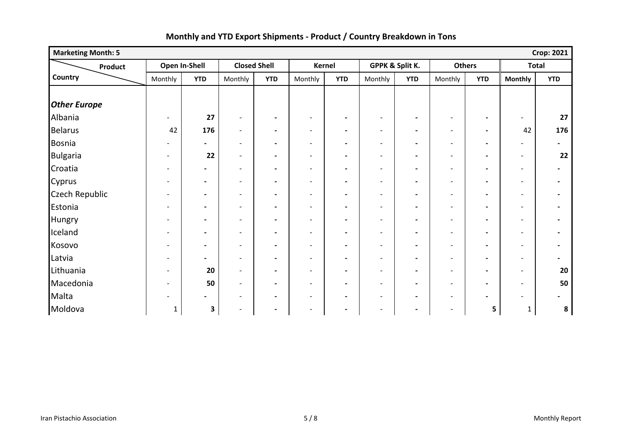| <b>Marketing Month: 5</b> |                          |                |                          |                          |                          |                          |                          |                          |                          |                          |                          | <b>Crop: 2021</b>        |
|---------------------------|--------------------------|----------------|--------------------------|--------------------------|--------------------------|--------------------------|--------------------------|--------------------------|--------------------------|--------------------------|--------------------------|--------------------------|
| Product                   |                          | Open In-Shell  |                          | <b>Closed Shell</b>      |                          | Kernel                   | GPPK & Split K.          |                          | <b>Others</b>            |                          | <b>Total</b>             |                          |
| Country                   | Monthly                  | <b>YTD</b>     | Monthly                  | <b>YTD</b>               | Monthly                  | <b>YTD</b>               | Monthly                  | <b>YTD</b>               | Monthly                  | <b>YTD</b>               | <b>Monthly</b>           | <b>YTD</b>               |
|                           |                          |                |                          |                          |                          |                          |                          |                          |                          |                          |                          |                          |
| <b>Other Europe</b>       |                          |                |                          |                          |                          |                          |                          |                          |                          |                          |                          |                          |
| Albania                   |                          | 27             | $\overline{\phantom{a}}$ | $\blacksquare$           | $\overline{\phantom{a}}$ | $\blacksquare$           | $\overline{\phantom{a}}$ | $\overline{\phantom{a}}$ | $\overline{\phantom{a}}$ | $\overline{\phantom{a}}$ | $\overline{\phantom{0}}$ | 27                       |
| <b>Belarus</b>            | 42                       | 176            | $\blacksquare$           | $\blacksquare$           | $\overline{\phantom{a}}$ | $\blacksquare$           | $\overline{\phantom{a}}$ | $\overline{\phantom{a}}$ | $\overline{\phantom{a}}$ | $\blacksquare$           | 42                       | 176                      |
| Bosnia                    |                          | $\blacksquare$ | $\overline{\phantom{a}}$ | $\blacksquare$           | $\overline{\phantom{a}}$ | $\blacksquare$           | $\overline{\phantom{a}}$ | $\overline{\phantom{a}}$ | $\overline{\phantom{a}}$ | $\overline{\phantom{a}}$ | $\overline{\phantom{a}}$ | $\overline{\phantom{a}}$ |
| <b>Bulgaria</b>           |                          | 22             | $\overline{\phantom{a}}$ | $\blacksquare$           | $\overline{\phantom{a}}$ | $\blacksquare$           | $\overline{\phantom{a}}$ | $\overline{\phantom{a}}$ | $\overline{\phantom{a}}$ | $\overline{\phantom{a}}$ | $\overline{\phantom{a}}$ | 22                       |
| Croatia                   |                          | $\blacksquare$ | $\blacksquare$           | $\blacksquare$           | $\blacksquare$           | $\blacksquare$           | $\overline{\phantom{a}}$ | $\blacksquare$           | $\overline{\phantom{a}}$ | $\blacksquare$           | $\overline{\phantom{a}}$ |                          |
| Cyprus                    | $\overline{\phantom{0}}$ | $\blacksquare$ | $\overline{\phantom{a}}$ | $\blacksquare$           | $\overline{\phantom{a}}$ | $\blacksquare$           | $\overline{\phantom{a}}$ | $\overline{\phantom{a}}$ | $\overline{\phantom{a}}$ | $\blacksquare$           | $\overline{\phantom{a}}$ | $\blacksquare$           |
| <b>Czech Republic</b>     |                          | $\blacksquare$ | $\overline{\phantom{a}}$ | $\overline{\phantom{a}}$ | $\overline{\phantom{a}}$ | $\blacksquare$           | $\overline{\phantom{a}}$ | $\blacksquare$           | $\overline{\phantom{a}}$ | $\overline{\phantom{a}}$ | $\overline{\phantom{a}}$ |                          |
| Estonia                   | $\overline{\phantom{a}}$ | $\blacksquare$ | $\overline{\phantom{a}}$ | $\blacksquare$           | $\overline{\phantom{a}}$ | $\blacksquare$           | $\overline{\phantom{a}}$ | $\blacksquare$           | $\overline{\phantom{a}}$ | $\blacksquare$           | $\overline{\phantom{a}}$ |                          |
| Hungry                    |                          | $\blacksquare$ | $\overline{\phantom{a}}$ | $\overline{\phantom{a}}$ | $\overline{\phantom{a}}$ | $\overline{\phantom{a}}$ | $\blacksquare$           | $\blacksquare$           | $\overline{\phantom{a}}$ | $\blacksquare$           | $\overline{\phantom{a}}$ |                          |
| Iceland                   | $\overline{\phantom{0}}$ | $\blacksquare$ | $\overline{\phantom{a}}$ | $\blacksquare$           | $\overline{\phantom{a}}$ | $\blacksquare$           | $\overline{\phantom{a}}$ | $\overline{\phantom{a}}$ | $\overline{\phantom{a}}$ | $\overline{\phantom{a}}$ | $\overline{\phantom{a}}$ |                          |
| Kosovo                    |                          | $\blacksquare$ | $\overline{\phantom{a}}$ | $\blacksquare$           | $\overline{\phantom{0}}$ | $\overline{\phantom{a}}$ | $\overline{\phantom{a}}$ | $\overline{\phantom{a}}$ | $\overline{\phantom{a}}$ | $\blacksquare$           | $\overline{\phantom{a}}$ |                          |
| Latvia                    | $\overline{\phantom{0}}$ | $\blacksquare$ | $\overline{\phantom{a}}$ | $\blacksquare$           | $\overline{\phantom{a}}$ | $\blacksquare$           | $\overline{\phantom{a}}$ | $\blacksquare$           | $\overline{\phantom{a}}$ | $\blacksquare$           | $\overline{\phantom{a}}$ |                          |
| Lithuania                 |                          | 20             | $\overline{\phantom{a}}$ | $\hbox{--}$              | $\overline{\phantom{0}}$ | $\blacksquare$           | $\overline{\phantom{a}}$ | $\overline{\phantom{a}}$ | $\overline{\phantom{a}}$ | $\overline{\phantom{a}}$ | $\overline{\phantom{a}}$ | 20                       |
| Macedonia                 |                          | 50             | $\overline{\phantom{a}}$ | $\blacksquare$           | $\overline{\phantom{a}}$ | $\blacksquare$           | $\overline{\phantom{a}}$ | $\blacksquare$           | $\overline{\phantom{a}}$ | $\overline{\phantom{a}}$ | $\overline{\phantom{a}}$ | 50                       |
| Malta                     |                          | $\blacksquare$ | $\overline{\phantom{a}}$ | $\blacksquare$           | $\overline{\phantom{a}}$ | $\blacksquare$           | $\overline{\phantom{a}}$ | $\overline{\phantom{a}}$ | $\overline{\phantom{a}}$ | $\blacksquare$           | $\overline{\phantom{0}}$ | $\blacksquare$           |
| Moldova                   | $\mathbf{1}$             | 3              | $\overline{\phantom{a}}$ | $\blacksquare$           | $\overline{\phantom{a}}$ | $\blacksquare$           | $\overline{\phantom{a}}$ | $\overline{\phantom{a}}$ | $\overline{\phantom{a}}$ | 5                        | $\mathbf{1}$             | 8                        |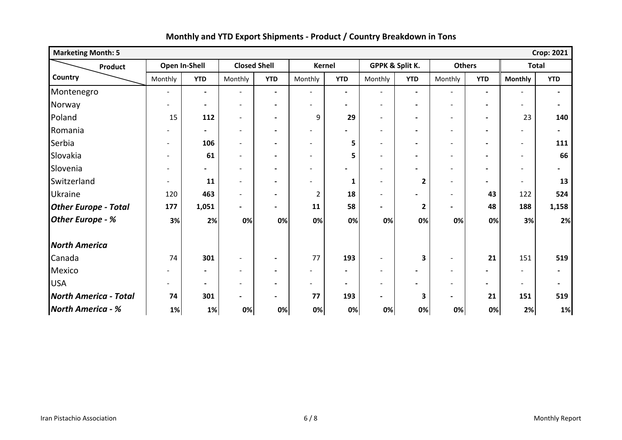| <b>Marketing Month: 5</b>    |                          |                          |                          |                              |                              |                          |                          |                          |                              |                          |                          | <b>Crop: 2021</b>        |
|------------------------------|--------------------------|--------------------------|--------------------------|------------------------------|------------------------------|--------------------------|--------------------------|--------------------------|------------------------------|--------------------------|--------------------------|--------------------------|
| Product                      | Open In-Shell            |                          | <b>Closed Shell</b>      |                              | Kernel                       |                          | GPPK & Split K.          |                          | <b>Others</b>                |                          | <b>Total</b>             |                          |
| Country                      | Monthly                  | <b>YTD</b>               | Monthly                  | <b>YTD</b>                   | Monthly                      | <b>YTD</b>               | Monthly                  | <b>YTD</b>               | Monthly                      | <b>YTD</b>               | <b>Monthly</b>           | <b>YTD</b>               |
| Montenegro                   | $\blacksquare$           | $\blacksquare$           | $\overline{\phantom{a}}$ | $\blacksquare$               | $\overline{\phantom{a}}$     | $\blacksquare$           | $\overline{\phantom{a}}$ | $\blacksquare$           | $\overline{\phantom{a}}$     | $\overline{\phantom{a}}$ | $\overline{\phantom{a}}$ | $\blacksquare$           |
| Norway                       |                          | $\blacksquare$           | $\overline{\phantom{a}}$ | $\blacksquare$               | $\overline{\phantom{a}}$     | $\overline{\phantom{0}}$ | $\overline{\phantom{a}}$ | $\blacksquare$           | $\overline{\phantom{a}}$     | $\overline{\phantom{a}}$ | $\overline{\phantom{a}}$ | $\blacksquare$           |
| Poland                       | 15                       | 112                      | $\overline{\phantom{0}}$ | $\blacksquare$               | 9                            | 29                       | $\overline{a}$           | $\blacksquare$           | $\blacksquare$               | $\overline{\phantom{a}}$ | 23                       | 140                      |
| Romania                      |                          | $\blacksquare$           | $\overline{\phantom{a}}$ | $\blacksquare$               | $\overline{\phantom{a}}$     |                          | $\overline{\phantom{a}}$ | $\overline{\phantom{a}}$ | $\overline{\phantom{a}}$     | $\overline{\phantom{a}}$ | $\overline{\phantom{a}}$ | $\overline{\phantom{0}}$ |
| Serbia                       | $\overline{\phantom{a}}$ | 106                      | $\overline{\phantom{a}}$ | $\blacksquare$               | $\overline{\phantom{a}}$     | 5                        | $\overline{\phantom{a}}$ | $\blacksquare$           | $\overline{\phantom{a}}$     | $\blacksquare$           | $\overline{\phantom{a}}$ | 111                      |
| Slovakia                     | $\overline{\phantom{0}}$ | 61                       | $\overline{\phantom{a}}$ | $\blacksquare$               | $\blacksquare$               | 5                        | $\blacksquare$           | $\overline{\phantom{a}}$ | $\overline{\phantom{a}}$     | $\overline{\phantom{a}}$ | $\overline{\phantom{a}}$ | 66                       |
| Slovenia                     |                          | $\overline{\phantom{0}}$ | $\overline{\phantom{a}}$ |                              | $\overline{a}$               |                          | $\overline{\phantom{0}}$ |                          | $\sim$                       | $\overline{\phantom{0}}$ | $\overline{\phantom{0}}$ |                          |
| Switzerland                  | $\overline{\phantom{0}}$ | 11                       | $\overline{\phantom{0}}$ | $\qquad \qquad \blacksquare$ | $\overline{a}$               | 1                        | $\blacksquare$           | 2                        | $\blacksquare$               | $\overline{\phantom{0}}$ | $\overline{a}$           | 13                       |
| Ukraine                      | 120                      | 463                      | $\overline{\phantom{a}}$ | $\qquad \qquad \blacksquare$ | 2                            | 18                       | $\overline{\phantom{a}}$ |                          | $\blacksquare$               | 43                       | 122                      | 524                      |
| <b>Other Europe - Total</b>  | 177                      | 1,051                    | $\blacksquare$           | $\blacksquare$               | 11                           | 58                       | Ξ.                       | $\mathbf{2}$             | $\overline{\phantom{0}}$     | 48                       | 188                      | 1,158                    |
| Other Europe - %             | 3%                       | 2%                       | 0%                       | 0%                           | 0%                           | 0%                       | 0%                       | 0%                       | 0%                           | 0%                       | 3%                       | 2%                       |
| <b>North America</b>         |                          |                          |                          |                              |                              |                          |                          |                          |                              |                          |                          |                          |
| Canada                       | 74                       | 301                      | $\overline{\phantom{a}}$ | $\blacksquare$               | 77                           | 193                      | $\overline{\phantom{a}}$ | $\overline{\mathbf{3}}$  | $\overline{\phantom{a}}$     | 21                       | 151                      | 519                      |
| Mexico                       |                          | $\blacksquare$           | $\qquad \qquad$          | $\qquad \qquad \blacksquare$ | $\qquad \qquad \blacksquare$ | $\blacksquare$           | $\overline{\phantom{a}}$ | $\blacksquare$           | $\qquad \qquad \blacksquare$ | $\blacksquare$           |                          |                          |
| <b>USA</b>                   |                          | $\overline{\phantom{a}}$ | $\overline{a}$           | $\blacksquare$               | $\qquad \qquad \blacksquare$ | $\blacksquare$           | $\overline{\phantom{a}}$ | $\blacksquare$           | $\overline{\phantom{a}}$     | $\blacksquare$           | $\overline{\phantom{a}}$ | $\blacksquare$           |
| <b>North America - Total</b> | 74                       | 301                      | $\blacksquare$           | $\overline{\phantom{0}}$     | 77                           | 193                      | $\blacksquare$           | 3                        | $\overline{\phantom{0}}$     | 21                       | 151                      | 519                      |
| <b>North America - %</b>     | 1%                       | 1%                       | 0%                       | 0%                           | 0%                           | 0%                       | 0%                       | 0%                       | 0%                           | 0%                       | 2%                       | 1%                       |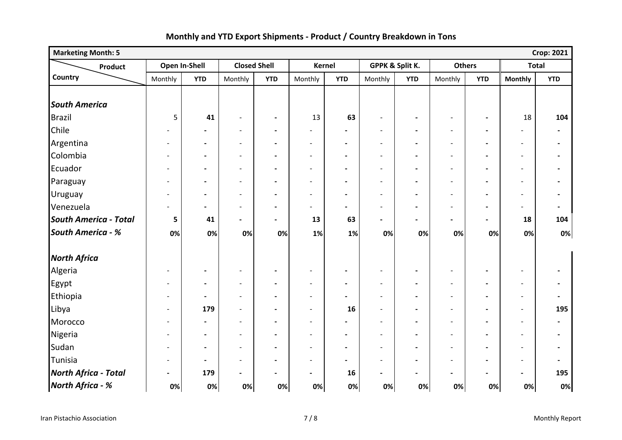| <b>Marketing Month: 5</b>    |                          |                          |                              |                          |                              |                |                          |                          |                          |                          |                          | <b>Crop: 2021</b>            |
|------------------------------|--------------------------|--------------------------|------------------------------|--------------------------|------------------------------|----------------|--------------------------|--------------------------|--------------------------|--------------------------|--------------------------|------------------------------|
| Product                      | Open In-Shell            |                          | <b>Closed Shell</b>          |                          | <b>Kernel</b>                |                | GPPK & Split K.          |                          |                          | <b>Others</b>            | <b>Total</b>             |                              |
| Country                      | Monthly                  | <b>YTD</b>               | Monthly                      | <b>YTD</b>               | Monthly                      | <b>YTD</b>     | Monthly                  | <b>YTD</b>               | Monthly                  | <b>YTD</b>               | <b>Monthly</b>           | <b>YTD</b>                   |
|                              |                          |                          |                              |                          |                              |                |                          |                          |                          |                          |                          |                              |
| <b>South America</b>         |                          |                          |                              |                          |                              |                |                          |                          |                          |                          |                          |                              |
| <b>Brazil</b>                | 5                        | 41                       | $\qquad \qquad -$            | $\blacksquare$           | 13                           | 63             | $\overline{\phantom{a}}$ | $\blacksquare$           | $\overline{\phantom{a}}$ | $\blacksquare$           | 18                       | 104                          |
| Chile                        |                          | $\overline{\phantom{0}}$ | $\overline{\phantom{a}}$     | $\blacksquare$           | $\overline{a}$               | $\blacksquare$ | $\overline{\phantom{a}}$ |                          | $\overline{\phantom{a}}$ | $\blacksquare$           | $\overline{\phantom{a}}$ | $\blacksquare$               |
| Argentina                    | $\overline{\phantom{a}}$ | $\blacksquare$           | $\overline{\phantom{a}}$     | $\blacksquare$           | $\qquad \qquad \blacksquare$ | $\blacksquare$ | $\overline{\phantom{a}}$ |                          | $\overline{\phantom{a}}$ | $\overline{\phantom{a}}$ | $\overline{\phantom{a}}$ | $\blacksquare$               |
| Colombia                     | -                        | $\blacksquare$           | $\overline{\phantom{a}}$     | $\blacksquare$           | $\overline{\phantom{a}}$     | $\blacksquare$ | $\overline{\phantom{a}}$ | $\blacksquare$           | $\overline{\phantom{a}}$ | $\blacksquare$           | $\overline{\phantom{a}}$ | $\blacksquare$               |
| Ecuador                      | $\overline{\phantom{0}}$ | $\hbox{--}$              | $\overline{\phantom{a}}$     | $\hbox{--}$              | $\overline{a}$               | $\blacksquare$ | $\overline{\phantom{a}}$ | $\blacksquare$           | $\overline{\phantom{a}}$ | $\blacksquare$           | $\overline{\phantom{a}}$ | $\overline{\phantom{a}}$     |
| Paraguay                     | $\overline{\phantom{0}}$ | $\hbox{--}$              | $\qquad \qquad -$            | $\hbox{--}$              | $\overline{\phantom{a}}$     | $\blacksquare$ | $\overline{\phantom{a}}$ | $\overline{\phantom{a}}$ | $\overline{\phantom{a}}$ | $\blacksquare$           | $\overline{\phantom{a}}$ | $\overline{\phantom{a}}$     |
| Uruguay                      | $\overline{\phantom{0}}$ | $\overline{\phantom{a}}$ | $\overline{a}$               | $\overline{\phantom{0}}$ | $\overline{a}$               | $\blacksquare$ | $\overline{\phantom{a}}$ |                          |                          | $\blacksquare$           | $\overline{\phantom{a}}$ | $\overline{\phantom{a}}$     |
| Venezuela                    | $\overline{\phantom{0}}$ | $\blacksquare$           | $\qquad \qquad \blacksquare$ | $\blacksquare$           | $\overline{\phantom{a}}$     | $\blacksquare$ | $\overline{\phantom{a}}$ | $\blacksquare$           | $\overline{\phantom{a}}$ | $\blacksquare$           | $\overline{\phantom{a}}$ | $\overline{\phantom{a}}$     |
| <b>South America - Total</b> | 5                        | 41                       | $\overline{\phantom{0}}$     | $\overline{\phantom{0}}$ | 13                           | 63             | $\blacksquare$           | $\blacksquare$           |                          | $\blacksquare$           | 18                       | 104                          |
| <b>South America - %</b>     | 0%                       | 0%                       | 0%                           | 0%                       | 1%                           | 1%             | 0%                       | 0%                       | 0%                       | 0%                       | 0%                       | $0\%$                        |
| <b>North Africa</b>          |                          |                          |                              |                          |                              |                |                          |                          |                          |                          |                          |                              |
| Algeria                      | $\overline{\phantom{a}}$ | $\hbox{--}$              | $\overline{\phantom{a}}$     | $\blacksquare$           | $\overline{a}$               | $\blacksquare$ | $\overline{\phantom{a}}$ | $\blacksquare$           | $\overline{\phantom{a}}$ | $\overline{\phantom{a}}$ | $\blacksquare$           | $\blacksquare$               |
| Egypt                        | $\overline{\phantom{a}}$ | $\blacksquare$           | $\overline{\phantom{a}}$     | $\overline{\phantom{a}}$ | $\overline{a}$               | $\blacksquare$ | $\overline{\phantom{a}}$ | $\blacksquare$           | $\overline{\phantom{a}}$ | $\blacksquare$           | $\overline{\phantom{a}}$ | $\blacksquare$               |
| Ethiopia                     | $\overline{\phantom{a}}$ | $\hbox{--}$              | $\overline{\phantom{a}}$     | $\blacksquare$           | $\overline{a}$               | $\blacksquare$ | $\overline{\phantom{a}}$ |                          | $\overline{\phantom{a}}$ | $\blacksquare$           | $\overline{\phantom{a}}$ | $\qquad \qquad \blacksquare$ |
| Libya                        | $\overline{\phantom{a}}$ | 179                      | $\overline{\phantom{0}}$     | $\blacksquare$           | $\overline{a}$               | 16             | $\blacksquare$           | $\overline{\phantom{0}}$ | $\overline{\phantom{a}}$ | $\blacksquare$           | $\overline{\phantom{a}}$ | 195                          |
| Morocco                      | $\overline{\phantom{a}}$ | $\blacksquare$           | $\overline{\phantom{0}}$     | $\blacksquare$           | $\overline{a}$               | $\blacksquare$ | $\blacksquare$           | $\blacksquare$           | $\overline{\phantom{a}}$ | $\blacksquare$           | $\overline{\phantom{a}}$ | $\blacksquare$               |
| Nigeria                      | $\overline{\phantom{a}}$ | $\blacksquare$           | $\overline{\phantom{a}}$     | $\overline{\phantom{a}}$ | $\overline{a}$               | $\blacksquare$ | $\overline{\phantom{a}}$ | $\blacksquare$           | $\overline{\phantom{a}}$ | $\blacksquare$           | $\overline{\phantom{a}}$ | $\blacksquare$               |
| Sudan                        | $\overline{\phantom{0}}$ | $\blacksquare$           | $\blacksquare$               | $\overline{\phantom{a}}$ | $\overline{a}$               | $\blacksquare$ | $\blacksquare$           | $\blacksquare$           |                          | $\overline{\phantom{a}}$ | $\overline{\phantom{a}}$ | $\blacksquare$               |
| Tunisia                      | $\overline{\phantom{a}}$ | $\blacksquare$           | $\overline{\phantom{a}}$     | $\overline{\phantom{a}}$ | $\overline{\phantom{a}}$     | $\blacksquare$ | $\overline{\phantom{a}}$ |                          | $\overline{\phantom{a}}$ | $\overline{\phantom{a}}$ | $\overline{\phantom{a}}$ | $\overline{\phantom{a}}$     |
| <b>North Africa - Total</b>  | $\blacksquare$           | 179                      | $\qquad \qquad \blacksquare$ | $\overline{\phantom{a}}$ | $\blacksquare$               | 16             | $\blacksquare$           | $\blacksquare$           | $\overline{\phantom{0}}$ | $\overline{\phantom{a}}$ | $\blacksquare$           | 195                          |
| North Africa - %             | 0%                       | 0%                       | 0%                           | 0%                       | 0%                           | 0%             | 0%                       | 0%                       | 0%                       | 0%                       | 0%                       | 0%                           |